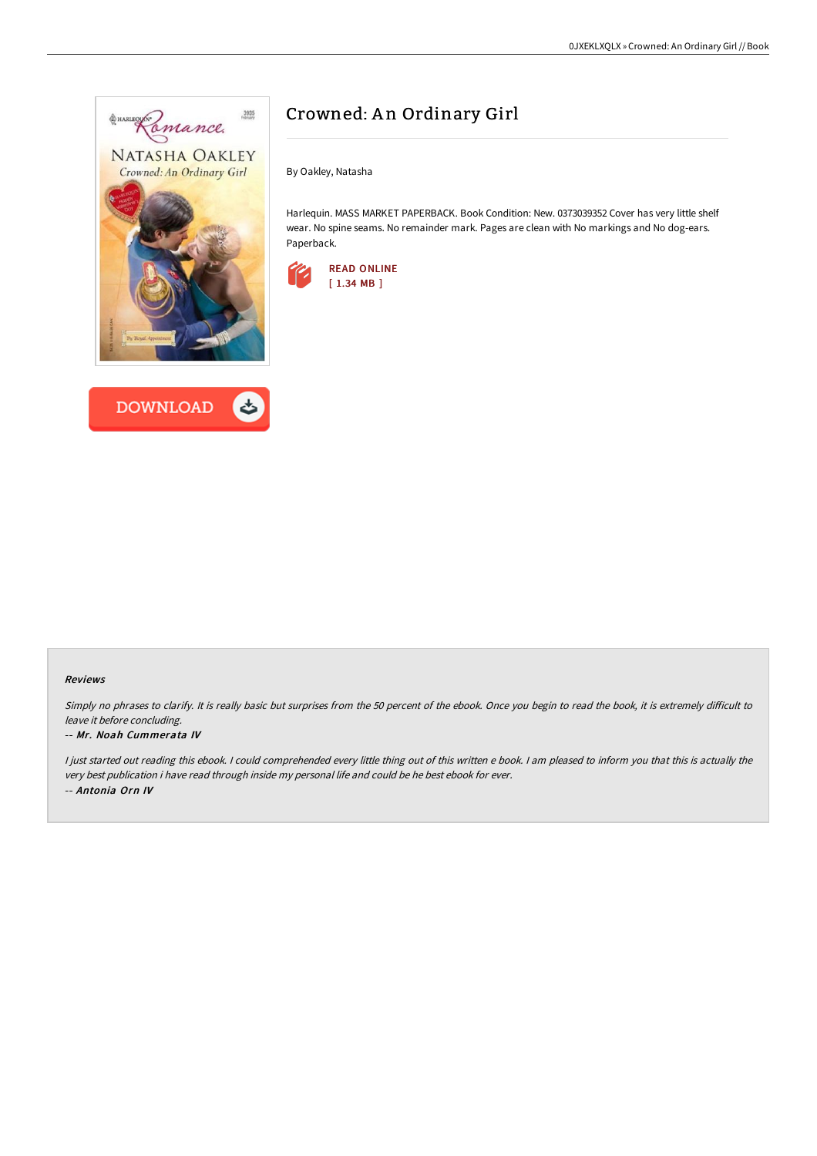



# Crowned: An Ordinary Girl

By Oakley, Natasha

Harlequin. MASS MARKET PAPERBACK. Book Condition: New. 0373039352 Cover has very little shelf wear. No spine seams. No remainder mark. Pages are clean with No markings and No dog-ears. Paperback.



### Reviews

Simply no phrases to clarify. It is really basic but surprises from the 50 percent of the ebook. Once you begin to read the book, it is extremely difficult to leave it before concluding.

#### -- Mr. Noah Cummerata IV

I just started out reading this ebook. I could comprehended every little thing out of this written e book. I am pleased to inform you that this is actually the very best publication i have read through inside my personal life and could be he best ebook for ever. -- Antonia Orn IV